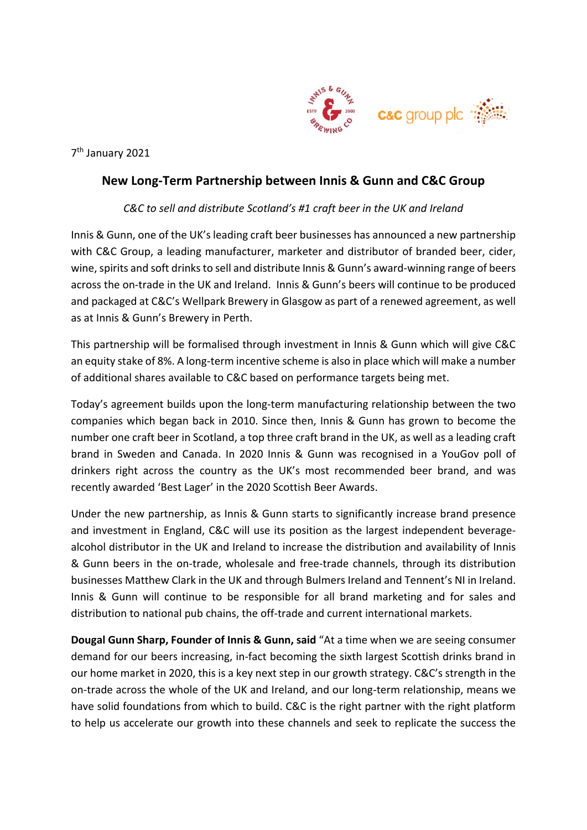

7 th January 2021

# **New Long-Term Partnership between Innis & Gunn and C&C Group**

## *C&C to sell and distribute Scotland's #1 craft beer in the UK and Ireland*

Innis & Gunn, one of the UK's leading craft beer businesses has announced a new partnership with C&C Group, a leading manufacturer, marketer and distributor of branded beer, cider, wine, spirits and soft drinks to sell and distribute Innis & Gunn's award-winning range of beers across the on-trade in the UK and Ireland. Innis & Gunn's beers will continue to be produced and packaged at C&C's Wellpark Brewery in Glasgow as part of a renewed agreement, as well as at Innis & Gunn's Brewery in Perth.

This partnership will be formalised through investment in Innis & Gunn which will give C&C an equity stake of 8%. A long-term incentive scheme is also in place which will make a number of additional shares available to C&C based on performance targets being met.

Today's agreement builds upon the long-term manufacturing relationship between the two companies which began back in 2010. Since then, Innis & Gunn has grown to become the number one craft beer in Scotland, a top three craft brand in the UK, as well as a leading craft brand in Sweden and Canada. In 2020 Innis & Gunn was recognised in a YouGov poll of drinkers right across the country as the UK's most recommended beer brand, and was recently awarded 'Best Lager' in the 2020 Scottish Beer Awards.

Under the new partnership, as Innis & Gunn starts to significantly increase brand presence and investment in England, C&C will use its position as the largest independent beveragealcohol distributor in the UK and Ireland to increase the distribution and availability of Innis & Gunn beers in the on-trade, wholesale and free-trade channels, through its distribution businesses Matthew Clark in the UK and through Bulmers Ireland and Tennent's NI in Ireland. Innis & Gunn will continue to be responsible for all brand marketing and for sales and distribution to national pub chains, the off-trade and current international markets.

**Dougal Gunn Sharp, Founder of Innis & Gunn, said** "At a time when we are seeing consumer demand for our beers increasing, in-fact becoming the sixth largest Scottish drinks brand in our home market in 2020, this is a key next step in our growth strategy. C&C's strength in the on-trade across the whole of the UK and Ireland, and our long-term relationship, means we have solid foundations from which to build. C&C is the right partner with the right platform to help us accelerate our growth into these channels and seek to replicate the success the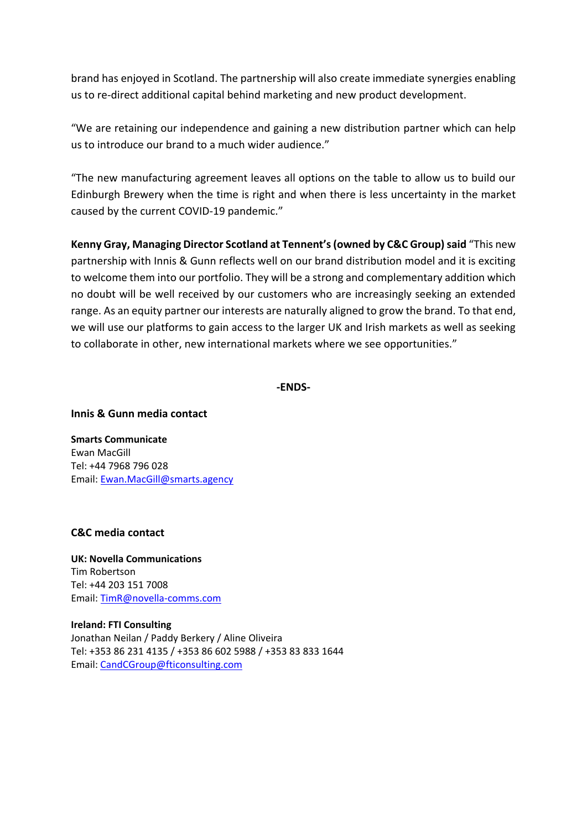brand has enjoyed in Scotland. The partnership will also create immediate synergies enabling us to re-direct additional capital behind marketing and new product development.

"We are retaining our independence and gaining a new distribution partner which can help us to introduce our brand to a much wider audience."

"The new manufacturing agreement leaves all options on the table to allow us to build our Edinburgh Brewery when the time is right and when there is less uncertainty in the market caused by the current COVID-19 pandemic."

**Kenny Gray, Managing Director Scotland at Tennent's (owned by C&C Group)said** "This new partnership with Innis & Gunn reflects well on our brand distribution model and it is exciting to welcome them into our portfolio. They will be a strong and complementary addition which no doubt will be well received by our customers who are increasingly seeking an extended range. As an equity partner our interests are naturally aligned to grow the brand. To that end, we will use our platforms to gain access to the larger UK and Irish markets as well as seeking to collaborate in other, new international markets where we see opportunities."

### **-ENDS-**

### **Innis & Gunn media contact**

**Smarts Communicate** Ewan MacGill Tel: +44 7968 796 028 Email: [Ewan.MacGill@smarts.agency](mailto:Ewan.MacGill@smarts.agency)

## **C&C media contact**

**UK: Novella Communications** Tim Robertson Tel: +44 203 151 7008 Email: [TimR@novella-comms.com](mailto:TimR@novella-comms.com)

### **Ireland: FTI Consulting** Jonathan Neilan / Paddy Berkery / Aline Oliveira Tel: +353 86 231 4135 / +353 86 602 5988 / +353 83 833 1644 Email: [CandCGroup@fticonsulting.com](mailto:CandCGroup@fticonsulting.com)